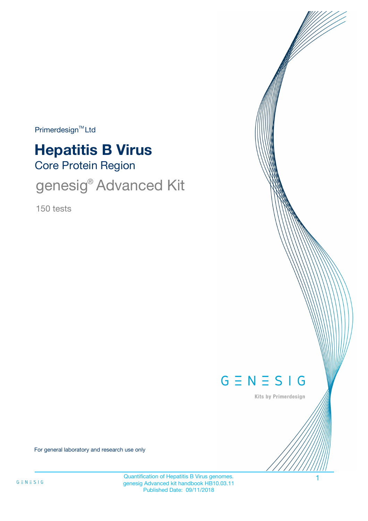$Primerdesign<sup>™</sup>Ltd$ 

# Core Protein Region **Hepatitis B Virus**

genesig® Advanced Kit

150 tests



Kits by Primerdesign

For general laboratory and research use only

Quantification of Hepatitis B Virus genomes. genesig Advanced kit handbook HB10.03.11 Published Date: 09/11/2018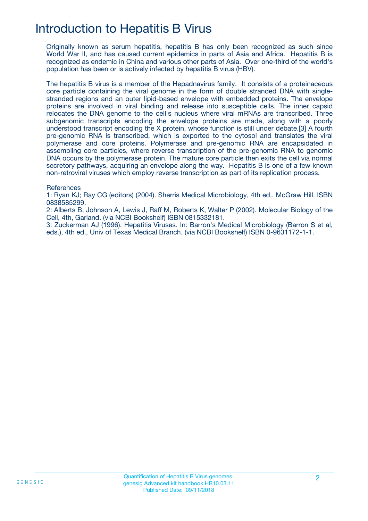# Introduction to Hepatitis B Virus

Originally known as serum hepatitis, hepatitis B has only been recognized as such since World War II, and has caused current epidemics in parts of Asia and Africa. Hepatitis B is recognized as endemic in China and various other parts of Asia. Over one-third of the world's population has been or is actively infected by hepatitis B virus (HBV).

The hepatitis B virus is a member of the Hepadnavirus family. It consists of a proteinaceous core particle containing the viral genome in the form of double stranded DNA with singlestranded regions and an outer lipid-based envelope with embedded proteins. The envelope proteins are involved in viral binding and release into susceptible cells. The inner capsid relocates the DNA genome to the cell's nucleus where viral mRNAs are transcribed. Three subgenomic transcripts encoding the envelope proteins are made, along with a poorly understood transcript encoding the X protein, whose function is still under debate.[3] A fourth pre-genomic RNA is transcribed, which is exported to the cytosol and translates the viral polymerase and core proteins. Polymerase and pre-genomic RNA are encapsidated in assembling core particles, where reverse transcription of the pre-genomic RNA to genomic DNA occurs by the polymerase protein. The mature core particle then exits the cell via normal secretory pathways, acquiring an envelope along the way. Hepatitis B is one of a few known non-retroviral viruses which employ reverse transcription as part of its replication process.

**References** 

1: Ryan KJ; Ray CG (editors) (2004). Sherris Medical Microbiology, 4th ed., McGraw Hill. ISBN 0838585299.

2: Alberts B, Johnson A, Lewis J, Raff M, Roberts K, Walter P (2002). Molecular Biology of the Cell, 4th, Garland. (via NCBI Bookshelf) ISBN 0815332181.

3: Zuckerman AJ (1996). Hepatitis Viruses. In: Barron's Medical Microbiology (Barron S et al, eds.), 4th ed., Univ of Texas Medical Branch. (via NCBI Bookshelf) ISBN 0-9631172-1-1.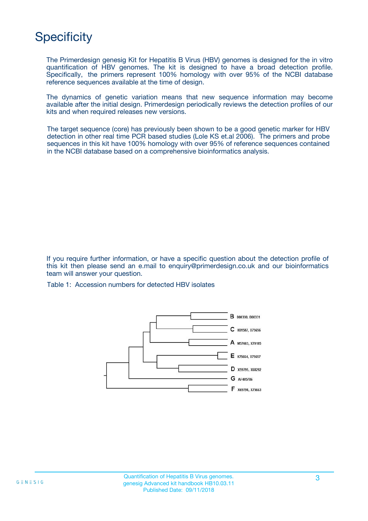# **Specificity**

The Primerdesign genesig Kit for Hepatitis B Virus (HBV) genomes is designed for the in vitro quantification of HBV genomes. The kit is designed to have a broad detection profile. Specifically, the primers represent 100% homology with over 95% of the NCBI database reference sequences available at the time of design.

The dynamics of genetic variation means that new sequence information may become available after the initial design. Primerdesign periodically reviews the detection profiles of our kits and when required releases new versions.

The target sequence (core) has previously been shown to be a good genetic marker for HBV detection in other real time PCR based studies (Lole KS et.al 2006). The primers and probe sequences in this kit have 100% homology with over 95% of reference sequences contained in the NCBI database based on a comprehensive bioinformatics analysis.

If you require further information, or have a specific question about the detection profile of this kit then please send an e.mail to enquiry@primerdesign.co.uk and our bioinformatics team will answer your question.

Table 1: Accession numbers for detected HBV isolates

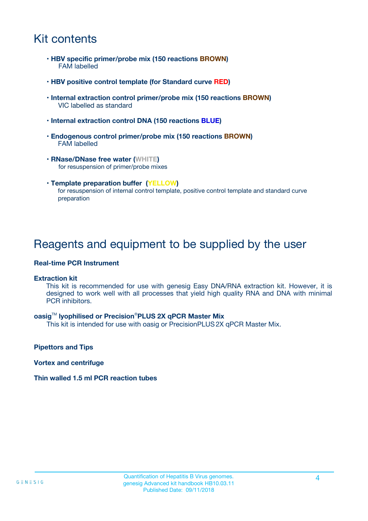### Kit contents

- **HBV specific primer/probe mix (150 reactions BROWN)** FAM labelled
- **HBV positive control template (for Standard curve RED)**
- **Internal extraction control primer/probe mix (150 reactions BROWN)** VIC labelled as standard
- **Internal extraction control DNA (150 reactions BLUE)**
- **Endogenous control primer/probe mix (150 reactions BROWN)** FAM labelled
- **RNase/DNase free water (WHITE)** for resuspension of primer/probe mixes
- **Template preparation buffer (YELLOW)** for resuspension of internal control template, positive control template and standard curve preparation

### Reagents and equipment to be supplied by the user

#### **Real-time PCR Instrument**

#### **Extraction kit**

This kit is recommended for use with genesig Easy DNA/RNA extraction kit. However, it is designed to work well with all processes that yield high quality RNA and DNA with minimal PCR inhibitors.

#### **oasig**TM **lyophilised or Precision**®**PLUS 2X qPCR Master Mix**

This kit is intended for use with oasig or PrecisionPLUS2X qPCR Master Mix.

**Pipettors and Tips**

**Vortex and centrifuge**

#### **Thin walled 1.5 ml PCR reaction tubes**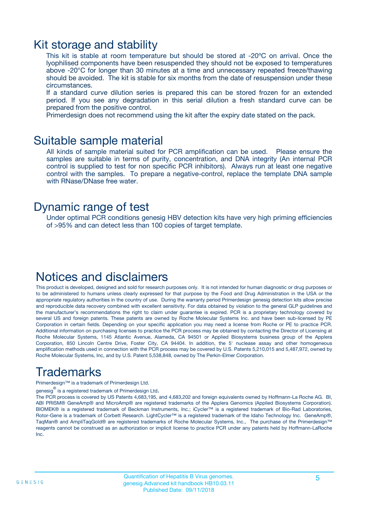### Kit storage and stability

This kit is stable at room temperature but should be stored at -20ºC on arrival. Once the lyophilised components have been resuspended they should not be exposed to temperatures above -20°C for longer than 30 minutes at a time and unnecessary repeated freeze/thawing should be avoided. The kit is stable for six months from the date of resuspension under these circumstances.

If a standard curve dilution series is prepared this can be stored frozen for an extended period. If you see any degradation in this serial dilution a fresh standard curve can be prepared from the positive control.

Primerdesign does not recommend using the kit after the expiry date stated on the pack.

### Suitable sample material

All kinds of sample material suited for PCR amplification can be used. Please ensure the samples are suitable in terms of purity, concentration, and DNA integrity (An internal PCR control is supplied to test for non specific PCR inhibitors). Always run at least one negative control with the samples. To prepare a negative-control, replace the template DNA sample with RNase/DNase free water.

### Dynamic range of test

Under optimal PCR conditions genesig HBV detection kits have very high priming efficiencies of >95% and can detect less than 100 copies of target template.

### Notices and disclaimers

This product is developed, designed and sold for research purposes only. It is not intended for human diagnostic or drug purposes or to be administered to humans unless clearly expressed for that purpose by the Food and Drug Administration in the USA or the appropriate regulatory authorities in the country of use. During the warranty period Primerdesign genesig detection kits allow precise and reproducible data recovery combined with excellent sensitivity. For data obtained by violation to the general GLP guidelines and the manufacturer's recommendations the right to claim under guarantee is expired. PCR is a proprietary technology covered by several US and foreign patents. These patents are owned by Roche Molecular Systems Inc. and have been sub-licensed by PE Corporation in certain fields. Depending on your specific application you may need a license from Roche or PE to practice PCR. Additional information on purchasing licenses to practice the PCR process may be obtained by contacting the Director of Licensing at Roche Molecular Systems, 1145 Atlantic Avenue, Alameda, CA 94501 or Applied Biosystems business group of the Applera Corporation, 850 Lincoln Centre Drive, Foster City, CA 94404. In addition, the 5' nuclease assay and other homogeneous amplification methods used in connection with the PCR process may be covered by U.S. Patents 5,210,015 and 5,487,972, owned by Roche Molecular Systems, Inc, and by U.S. Patent 5,538,848, owned by The Perkin-Elmer Corporation.

# Trademarks

Primerdesign™ is a trademark of Primerdesign Ltd.

genesig $^\circledR$  is a registered trademark of Primerdesign Ltd.

The PCR process is covered by US Patents 4,683,195, and 4,683,202 and foreign equivalents owned by Hoffmann-La Roche AG. BI, ABI PRISM® GeneAmp® and MicroAmp® are registered trademarks of the Applera Genomics (Applied Biosystems Corporation). BIOMEK® is a registered trademark of Beckman Instruments, Inc.; iCycler™ is a registered trademark of Bio-Rad Laboratories, Rotor-Gene is a trademark of Corbett Research. LightCycler™ is a registered trademark of the Idaho Technology Inc. GeneAmp®, TaqMan® and AmpliTaqGold® are registered trademarks of Roche Molecular Systems, Inc., The purchase of the Primerdesign™ reagents cannot be construed as an authorization or implicit license to practice PCR under any patents held by Hoffmann-LaRoche Inc.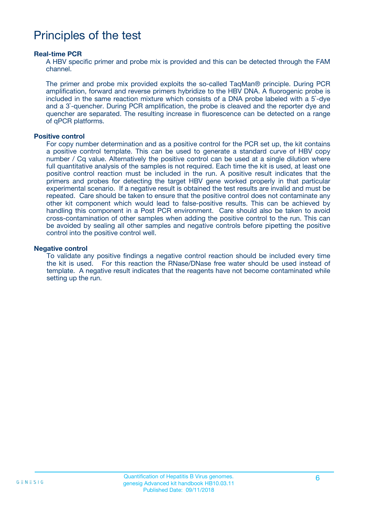### Principles of the test

#### **Real-time PCR**

A HBV specific primer and probe mix is provided and this can be detected through the FAM channel.

The primer and probe mix provided exploits the so-called TaqMan® principle. During PCR amplification, forward and reverse primers hybridize to the HBV DNA. A fluorogenic probe is included in the same reaction mixture which consists of a DNA probe labeled with a 5`-dye and a 3`-quencher. During PCR amplification, the probe is cleaved and the reporter dye and quencher are separated. The resulting increase in fluorescence can be detected on a range of qPCR platforms.

#### **Positive control**

For copy number determination and as a positive control for the PCR set up, the kit contains a positive control template. This can be used to generate a standard curve of HBV copy number / Cq value. Alternatively the positive control can be used at a single dilution where full quantitative analysis of the samples is not required. Each time the kit is used, at least one positive control reaction must be included in the run. A positive result indicates that the primers and probes for detecting the target HBV gene worked properly in that particular experimental scenario. If a negative result is obtained the test results are invalid and must be repeated. Care should be taken to ensure that the positive control does not contaminate any other kit component which would lead to false-positive results. This can be achieved by handling this component in a Post PCR environment. Care should also be taken to avoid cross-contamination of other samples when adding the positive control to the run. This can be avoided by sealing all other samples and negative controls before pipetting the positive control into the positive control well.

#### **Negative control**

To validate any positive findings a negative control reaction should be included every time the kit is used. For this reaction the RNase/DNase free water should be used instead of template. A negative result indicates that the reagents have not become contaminated while setting up the run.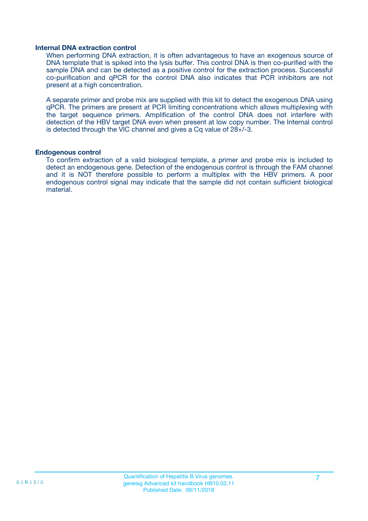#### **Internal DNA extraction control**

When performing DNA extraction, it is often advantageous to have an exogenous source of DNA template that is spiked into the lysis buffer. This control DNA is then co-purified with the sample DNA and can be detected as a positive control for the extraction process. Successful co-purification and qPCR for the control DNA also indicates that PCR inhibitors are not present at a high concentration.

A separate primer and probe mix are supplied with this kit to detect the exogenous DNA using qPCR. The primers are present at PCR limiting concentrations which allows multiplexing with the target sequence primers. Amplification of the control DNA does not interfere with detection of the HBV target DNA even when present at low copy number. The Internal control is detected through the VIC channel and gives a Cq value of 28+/-3.

#### **Endogenous control**

To confirm extraction of a valid biological template, a primer and probe mix is included to detect an endogenous gene. Detection of the endogenous control is through the FAM channel and it is NOT therefore possible to perform a multiplex with the HBV primers. A poor endogenous control signal may indicate that the sample did not contain sufficient biological material.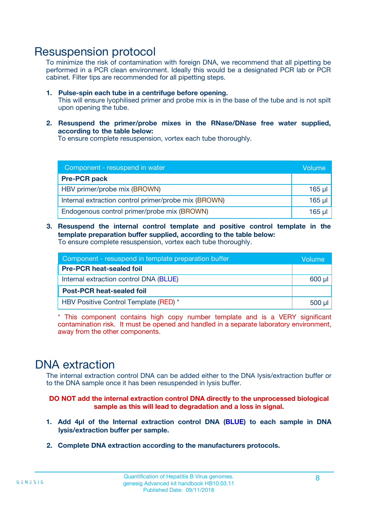### Resuspension protocol

To minimize the risk of contamination with foreign DNA, we recommend that all pipetting be performed in a PCR clean environment. Ideally this would be a designated PCR lab or PCR cabinet. Filter tips are recommended for all pipetting steps.

- **1. Pulse-spin each tube in a centrifuge before opening.** This will ensure lyophilised primer and probe mix is in the base of the tube and is not spilt upon opening the tube.
- **2. Resuspend the primer/probe mixes in the RNase/DNase free water supplied, according to the table below:**

To ensure complete resuspension, vortex each tube thoroughly.

| Component - resuspend in water                       |             |  |
|------------------------------------------------------|-------------|--|
| <b>Pre-PCR pack</b>                                  |             |  |
| HBV primer/probe mix (BROWN)                         | $165$ µl    |  |
| Internal extraction control primer/probe mix (BROWN) | $165$ $\mu$ |  |
| Endogenous control primer/probe mix (BROWN)          | $165$ µl    |  |

**3. Resuspend the internal control template and positive control template in the template preparation buffer supplied, according to the table below:** To ensure complete resuspension, vortex each tube thoroughly.

| Component - resuspend in template preparation buffer |          |  |
|------------------------------------------------------|----------|--|
| <b>Pre-PCR heat-sealed foil</b>                      |          |  |
| Internal extraction control DNA (BLUE)               |          |  |
| <b>Post-PCR heat-sealed foil</b>                     |          |  |
| HBV Positive Control Template (RED) *                | $500$ µl |  |

\* This component contains high copy number template and is a VERY significant contamination risk. It must be opened and handled in a separate laboratory environment, away from the other components.

### DNA extraction

The internal extraction control DNA can be added either to the DNA lysis/extraction buffer or to the DNA sample once it has been resuspended in lysis buffer.

**DO NOT add the internal extraction control DNA directly to the unprocessed biological sample as this will lead to degradation and a loss in signal.**

- **1. Add 4µl of the Internal extraction control DNA (BLUE) to each sample in DNA lysis/extraction buffer per sample.**
- **2. Complete DNA extraction according to the manufacturers protocols.**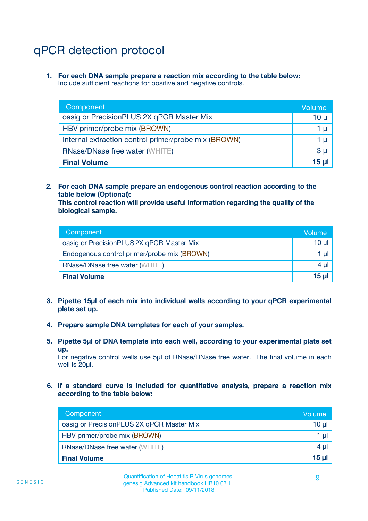# qPCR detection protocol

**1. For each DNA sample prepare a reaction mix according to the table below:** Include sufficient reactions for positive and negative controls.

| Component                                            | Volume   |
|------------------------------------------------------|----------|
| oasig or PrecisionPLUS 2X qPCR Master Mix            | 10 $\mu$ |
| HBV primer/probe mix (BROWN)                         | 1 µI     |
| Internal extraction control primer/probe mix (BROWN) | 1 µl     |
| <b>RNase/DNase free water (WHITE)</b>                | $3 \mu$  |
| <b>Final Volume</b>                                  | 15 µl    |

**2. For each DNA sample prepare an endogenous control reaction according to the table below (Optional):**

**This control reaction will provide useful information regarding the quality of the biological sample.**

| Component                                   | Volume   |
|---------------------------------------------|----------|
| oasig or PrecisionPLUS 2X qPCR Master Mix   | $10 \mu$ |
| Endogenous control primer/probe mix (BROWN) | 1 µI     |
| <b>RNase/DNase free water (WHITE)</b>       | $4 \mu$  |
| <b>Final Volume</b>                         | 15 µl    |

- **3. Pipette 15µl of each mix into individual wells according to your qPCR experimental plate set up.**
- **4. Prepare sample DNA templates for each of your samples.**
- **5. Pipette 5µl of DNA template into each well, according to your experimental plate set up.**

For negative control wells use 5µl of RNase/DNase free water. The final volume in each well is 20ul.

**6. If a standard curve is included for quantitative analysis, prepare a reaction mix according to the table below:**

| Component                                 | Volume  |
|-------------------------------------------|---------|
| oasig or PrecisionPLUS 2X qPCR Master Mix | 10 µl   |
| HBV primer/probe mix (BROWN)              | 1 µI    |
| <b>RNase/DNase free water (WHITE)</b>     | $4 \mu$ |
| <b>Final Volume</b>                       | 15 µl   |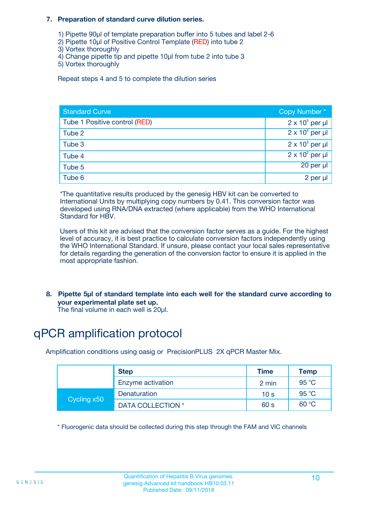#### **7. Preparation of standard curve dilution series.**

- 1) Pipette 90µl of template preparation buffer into 5 tubes and label 2-6
- 2) Pipette 10µl of Positive Control Template (RED) into tube 2
- 3) Vortex thoroughly
- 4) Change pipette tip and pipette 10µl from tube 2 into tube 3
- 5) Vortex thoroughly

Repeat steps 4 and 5 to complete the dilution series

| <b>Standard Curve</b>         | Copy Number*           |
|-------------------------------|------------------------|
| Tube 1 Positive control (RED) | $2 \times 10^5$ per µl |
| Tube 2                        | $2 \times 10^4$ per µl |
| Tube 3                        | $2 \times 10^3$ per µl |
| Tube 4                        | $2 \times 10^2$ per µl |
| Tube 5                        | 20 per µl              |
| Tube 6                        | 2 per µl               |

\*The quantitative results produced by the genesig HBV kit can be converted to International Units by multiplying copy numbers by 0.41. This conversion factor was developed using RNA/DNA extracted (where applicable) from the WHO International Standard for HBV.

Users of this kit are advised that the conversion factor serves as a guide. For the highest level of accuracy, it is best practice to calculate conversion factors independently using the WHO International Standard. If unsure, please contact your local sales representative for details regarding the generation of the conversion factor to ensure it is applied in the most appropriate fashion.

**8. Pipette 5µl of standard template into each well for the standard curve according to your experimental plate set up.**

The final volume in each well is 20µl.

# qPCR amplification protocol

Amplification conditions using oasig or PrecisionPLUS 2X qPCR Master Mix.

|             | <b>Step</b>              | <b>Time</b>     | Temp  |
|-------------|--------------------------|-----------------|-------|
|             | Enzyme activation        | 2 min           | 95 °C |
| Cycling x50 | Denaturation             | 10 <sub>s</sub> | 95 °C |
|             | <b>DATA COLLECTION</b> * | 60 s            | 60 °C |

\* Fluorogenic data should be collected during this step through the FAM and VIC channels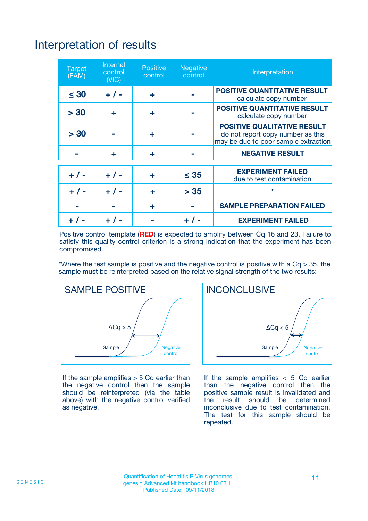# Interpretation of results

| <b>Target</b><br>(FAM) | <b>Internal</b><br>control<br>(NIC) | <b>Positive</b><br>control | <b>Negative</b><br>control | Interpretation                                                                                                  |
|------------------------|-------------------------------------|----------------------------|----------------------------|-----------------------------------------------------------------------------------------------------------------|
| $\leq 30$              | $+ 1 -$                             | ÷                          |                            | <b>POSITIVE QUANTITATIVE RESULT</b><br>calculate copy number                                                    |
| > 30                   | ٠                                   | ÷                          |                            | <b>POSITIVE QUANTITATIVE RESULT</b><br>calculate copy number                                                    |
| > 30                   |                                     | ÷                          |                            | <b>POSITIVE QUALITATIVE RESULT</b><br>do not report copy number as this<br>may be due to poor sample extraction |
|                        | ÷                                   | ÷                          |                            | <b>NEGATIVE RESULT</b>                                                                                          |
| $+ 1 -$                | $+ 1 -$                             | ÷                          | $\leq$ 35                  | <b>EXPERIMENT FAILED</b><br>due to test contamination                                                           |
| $+$ / -                | $+ 1 -$                             | ÷                          | > 35                       | $\star$                                                                                                         |
|                        |                                     | ÷                          |                            | <b>SAMPLE PREPARATION FAILED</b>                                                                                |
|                        |                                     |                            | $+$ /                      | <b>EXPERIMENT FAILED</b>                                                                                        |

Positive control template (**RED**) is expected to amplify between Cq 16 and 23. Failure to satisfy this quality control criterion is a strong indication that the experiment has been compromised.

\*Where the test sample is positive and the negative control is positive with a  $Ca > 35$ , the sample must be reinterpreted based on the relative signal strength of the two results:



If the sample amplifies  $>$  5 Cq earlier than the negative control then the sample should be reinterpreted (via the table above) with the negative control verified as negative.



If the sample amplifies  $< 5$  Cq earlier than the negative control then the positive sample result is invalidated and<br>the result should be determined  $the$  result should be inconclusive due to test contamination. The test for this sample should be repeated.